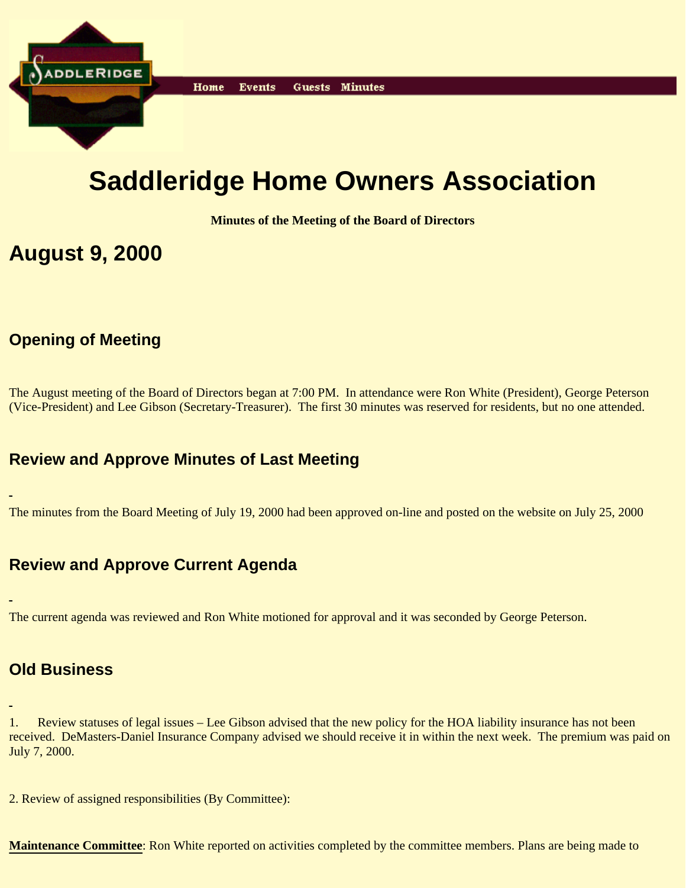

# **Saddleridge Home Owners Association**

**Minutes of the Meeting of the Board of Directors**

### **August 9, 2000**

### **Opening of Meeting**

The August meeting of the Board of Directors began at 7:00 PM. In attendance were Ron White (President), George Peterson (Vice-President) and Lee Gibson (Secretary-Treasurer). The first 30 minutes was reserved for residents, but no one attended.

#### **Review and Approve Minutes of Last Meeting**

The minutes from the Board Meeting of July 19, 2000 had been approved on-line and posted on the website on July 25, 2000

#### **Review and Approve Current Agenda**

The current agenda was reviewed and Ron White motioned for approval and it was seconded by George Peterson.

#### **Old Business**

1. Review statuses of legal issues – Lee Gibson advised that the new policy for the HOA liability insurance has not been received. DeMasters-Daniel Insurance Company advised we should receive it in within the next week. The premium was paid on July 7, 2000.

2. Review of assigned responsibilities (By Committee):

**Maintenance Committee**: Ron White reported on activities completed by the committee members. Plans are being made to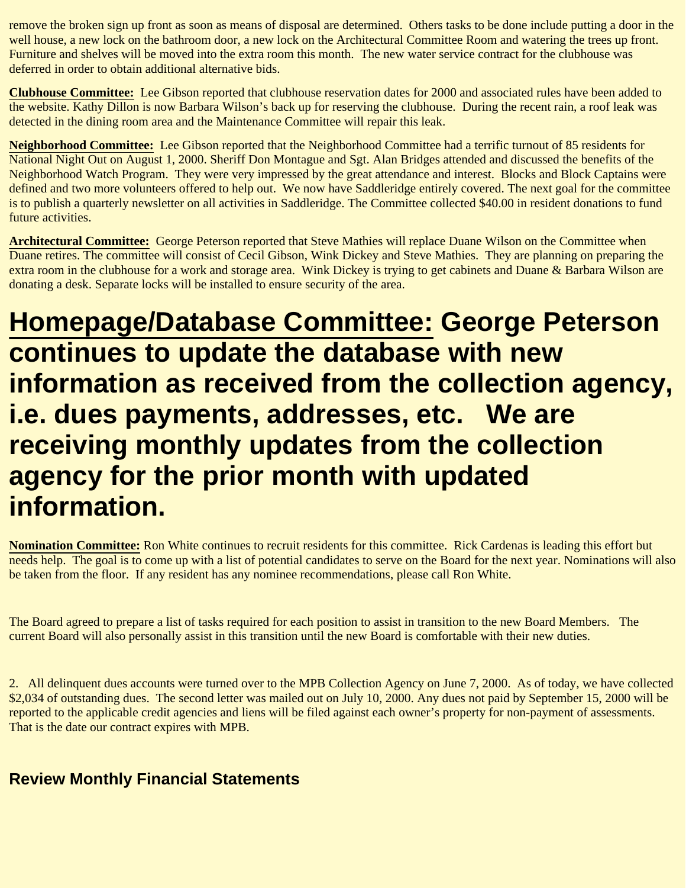remove the broken sign up front as soon as means of disposal are determined. Others tasks to be done include putting a door in the well house, a new lock on the bathroom door, a new lock on the Architectural Committee Room and watering the trees up front. Furniture and shelves will be moved into the extra room this month. The new water service contract for the clubhouse was deferred in order to obtain additional alternative bids.

**Clubhouse Committee:** Lee Gibson reported that clubhouse reservation dates for 2000 and associated rules have been added to the website. Kathy Dillon is now Barbara Wilson's back up for reserving the clubhouse. During the recent rain, a roof leak was detected in the dining room area and the Maintenance Committee will repair this leak.

**Neighborhood Committee:** Lee Gibson reported that the Neighborhood Committee had a terrific turnout of 85 residents for National Night Out on August 1, 2000. Sheriff Don Montague and Sgt. Alan Bridges attended and discussed the benefits of the Neighborhood Watch Program. They were very impressed by the great attendance and interest. Blocks and Block Captains were defined and two more volunteers offered to help out. We now have Saddleridge entirely covered. The next goal for the committee is to publish a quarterly newsletter on all activities in Saddleridge. The Committee collected \$40.00 in resident donations to fund future activities.

**Architectural Committee:** George Peterson reported that Steve Mathies will replace Duane Wilson on the Committee when Duane retires. The committee will consist of Cecil Gibson, Wink Dickey and Steve Mathies. They are planning on preparing the extra room in the clubhouse for a work and storage area. Wink Dickey is trying to get cabinets and Duane & Barbara Wilson are donating a desk. Separate locks will be installed to ensure security of the area.

## **Homepage/Database Committee: George Peterson continues to update the database with new information as received from the collection agency, i.e. dues payments, addresses, etc. We are receiving monthly updates from the collection agency for the prior month with updated information.**

**Nomination Committee:** Ron White continues to recruit residents for this committee. Rick Cardenas is leading this effort but needs help. The goal is to come up with a list of potential candidates to serve on the Board for the next year. Nominations will also be taken from the floor. If any resident has any nominee recommendations, please call Ron White.

The Board agreed to prepare a list of tasks required for each position to assist in transition to the new Board Members. The current Board will also personally assist in this transition until the new Board is comfortable with their new duties.

2. All delinquent dues accounts were turned over to the MPB Collection Agency on June 7, 2000. As of today, we have collected \$2,034 of outstanding dues. The second letter was mailed out on July 10, 2000. Any dues not paid by September 15, 2000 will be reported to the applicable credit agencies and liens will be filed against each owner's property for non-payment of assessments. That is the date our contract expires with MPB.

#### **Review Monthly Financial Statements**